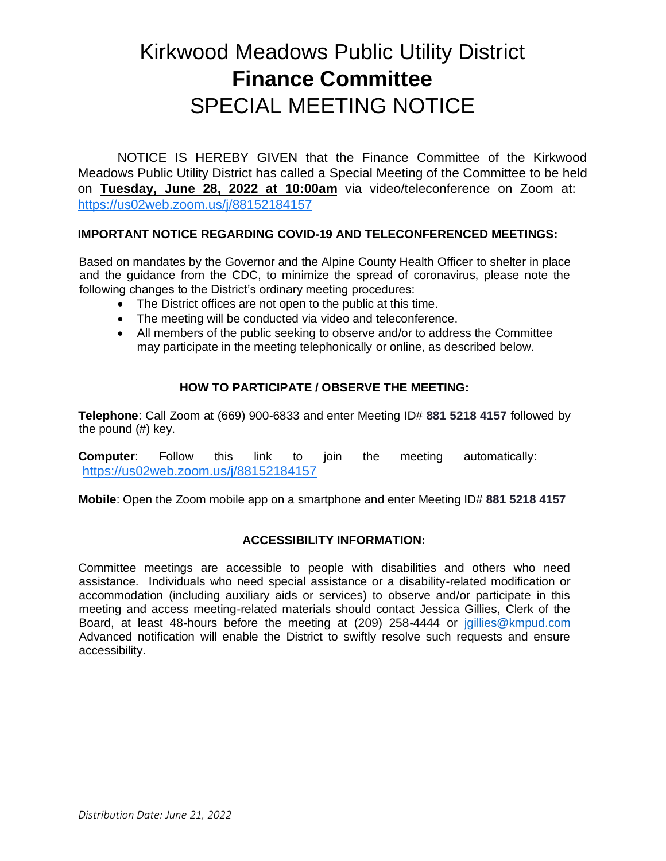# Kirkwood Meadows Public Utility District **Finance Committee** SPECIAL MEETING NOTICE

NOTICE IS HEREBY GIVEN that the Finance Committee of the Kirkwood Meadows Public Utility District has called a Special Meeting of the Committee to be held on **Tuesday, June 28, 2022 at 10:00am** via video/teleconference on Zoom at: <https://us02web.zoom.us/j/88152184157>

### **IMPORTANT NOTICE REGARDING COVID-19 AND TELECONFERENCED MEETINGS:**

Based on mandates by the Governor and the Alpine County Health Officer to shelter in place and the guidance from the CDC, to minimize the spread of coronavirus, please note the following changes to the District's ordinary meeting procedures:

- The District offices are not open to the public at this time.
- The meeting will be conducted via video and teleconference.
- All members of the public seeking to observe and/or to address the Committee may participate in the meeting telephonically or online, as described below.

### **HOW TO PARTICIPATE / OBSERVE THE MEETING:**

**Telephone**: Call Zoom at (669) 900-6833 and enter Meeting ID# **881 5218 4157** followed by the pound (#) key.

**Computer**: Follow this link to join the meeting automatically: <https://us02web.zoom.us/j/88152184157>

**Mobile**: Open the Zoom mobile app on a smartphone and enter Meeting ID# **881 5218 4157**

#### **ACCESSIBILITY INFORMATION:**

Committee meetings are accessible to people with disabilities and others who need assistance. Individuals who need special assistance or a disability-related modification or accommodation (including auxiliary aids or services) to observe and/or participate in this meeting and access meeting-related materials should contact Jessica Gillies, Clerk of the Board, at least 48-hours before the meeting at (209) 258-4444 or [jgillies@kmpud.com](mailto:jgillies@kmpud.com) Advanced notification will enable the District to swiftly resolve such requests and ensure accessibility.